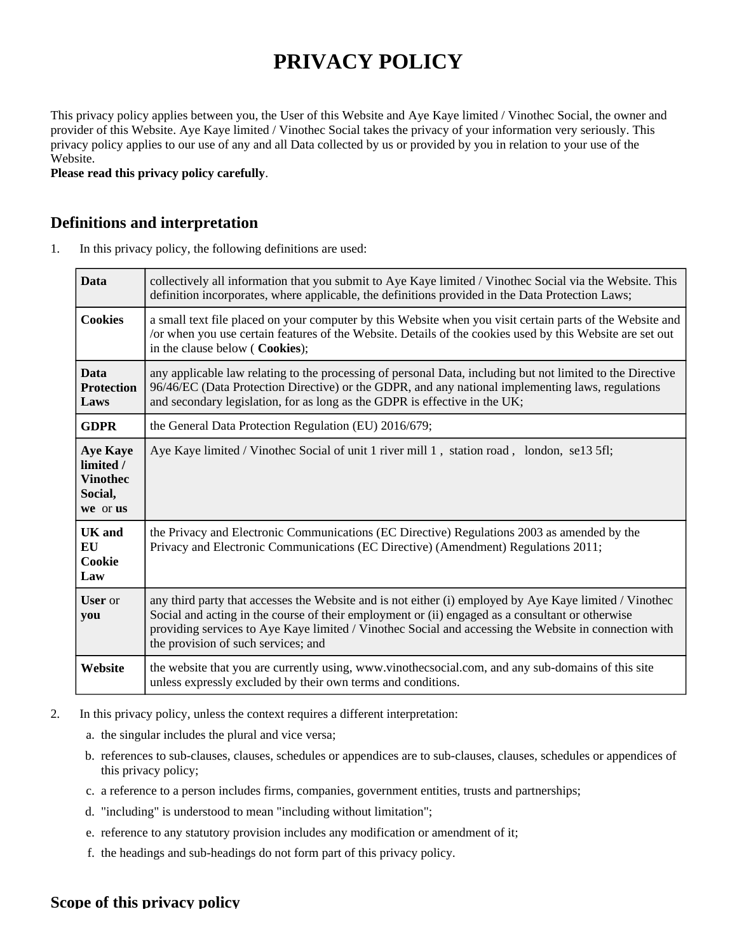# **PRIVACY POLICY**

This privacy policy applies between you, the User of this Website and Aye Kaye limited / Vinothec Social, the owner and provider of this Website. Aye Kaye limited / Vinothec Social takes the privacy of your information very seriously. This privacy policy applies to our use of any and all Data collected by us or provided by you in relation to your use of the Website.

**Please read this privacy policy carefully**.

#### **Definitions and interpretation**

1. In this privacy policy, the following definitions are used:

| <b>Data</b>                                                            | collectively all information that you submit to Aye Kaye limited / Vinothec Social via the Website. This<br>definition incorporates, where applicable, the definitions provided in the Data Protection Laws;                                                                                                                                                |
|------------------------------------------------------------------------|-------------------------------------------------------------------------------------------------------------------------------------------------------------------------------------------------------------------------------------------------------------------------------------------------------------------------------------------------------------|
| <b>Cookies</b>                                                         | a small text file placed on your computer by this Website when you visit certain parts of the Website and<br>/or when you use certain features of the Website. Details of the cookies used by this Website are set out<br>in the clause below (Cookies);                                                                                                    |
| <b>Data</b><br><b>Protection</b><br>Laws                               | any applicable law relating to the processing of personal Data, including but not limited to the Directive<br>96/46/EC (Data Protection Directive) or the GDPR, and any national implementing laws, regulations<br>and secondary legislation, for as long as the GDPR is effective in the UK;                                                               |
| <b>GDPR</b>                                                            | the General Data Protection Regulation (EU) 2016/679;                                                                                                                                                                                                                                                                                                       |
| <b>Aye Kaye</b><br>limited /<br><b>Vinothec</b><br>Social,<br>we or us | Aye Kaye limited / Vinothec Social of unit 1 river mill 1, station road, london, se13 5fl;                                                                                                                                                                                                                                                                  |
| <b>UK</b> and<br>EU<br>Cookie<br>Law                                   | the Privacy and Electronic Communications (EC Directive) Regulations 2003 as amended by the<br>Privacy and Electronic Communications (EC Directive) (Amendment) Regulations 2011;                                                                                                                                                                           |
| <b>User</b> or<br>you                                                  | any third party that accesses the Website and is not either (i) employed by Aye Kaye limited / Vinothec<br>Social and acting in the course of their employment or (ii) engaged as a consultant or otherwise<br>providing services to Aye Kaye limited / Vinothec Social and accessing the Website in connection with<br>the provision of such services; and |
| Website                                                                | the website that you are currently using, www.vinothecsocial.com, and any sub-domains of this site<br>unless expressly excluded by their own terms and conditions.                                                                                                                                                                                          |

- 2. In this privacy policy, unless the context requires a different interpretation:
	- a. the singular includes the plural and vice versa;
	- b. references to sub-clauses, clauses, schedules or appendices are to sub-clauses, clauses, schedules or appendices of this privacy policy;
	- c. a reference to a person includes firms, companies, government entities, trusts and partnerships;
	- d. "including" is understood to mean "including without limitation";
	- e. reference to any statutory provision includes any modification or amendment of it;
	- f. the headings and sub-headings do not form part of this privacy policy.

#### **Scope of this privacy policy**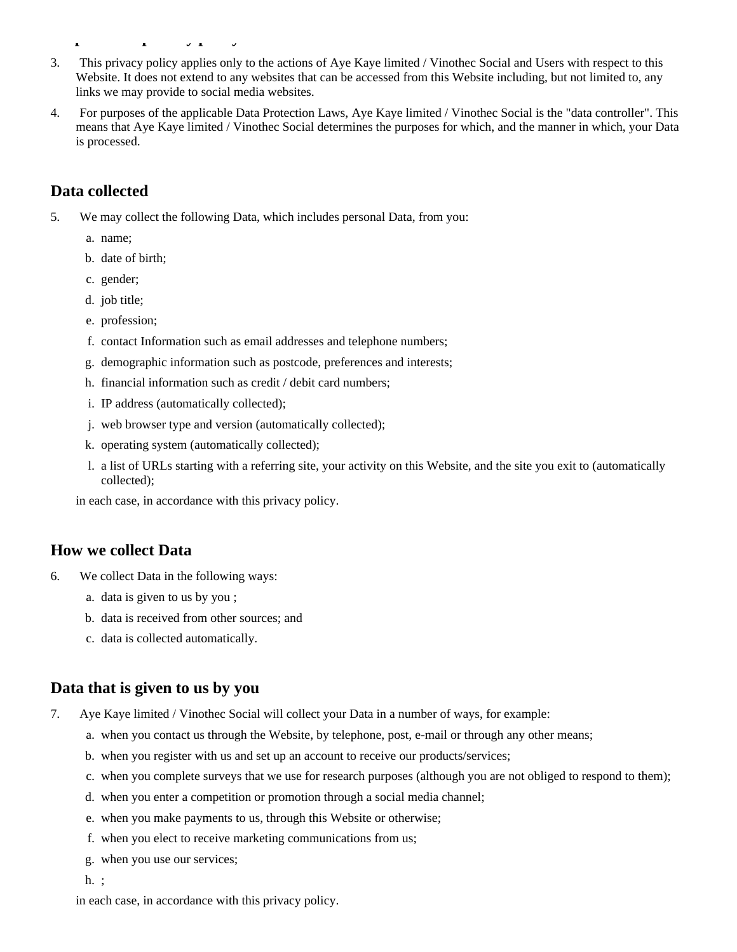- 3. This privacy policy applies only to the actions of Aye Kaye limited / Vinothec Social and Users with respect to this Website. It does not extend to any websites that can be accessed from this Website including, but not limited to, any links we may provide to social media websites.
- 4. For purposes of the applicable Data Protection Laws, Aye Kaye limited / Vinothec Social is the "data controller". This means that Aye Kaye limited / Vinothec Social determines the purposes for which, and the manner in which, your Data is processed.

## **Data collected**

- 5. We may collect the following Data, which includes personal Data, from you:
	- a. name;
	- b. date of birth;

**Scope of this privacy policy policy policy policy policy policy policy policy policy policy policy policy poli** 

- c. gender;
- d. job title;
- e. profession;
- f. contact Information such as email addresses and telephone numbers;
- g. demographic information such as postcode, preferences and interests;
- h. financial information such as credit / debit card numbers;
- i. IP address (automatically collected);
- j. web browser type and version (automatically collected);
- k. operating system (automatically collected);
- l. a list of URLs starting with a referring site, your activity on this Website, and the site you exit to (automatically collected);

in each case, in accordance with this privacy policy.

#### **How we collect Data**

- 6. We collect Data in the following ways:
	- a. data is given to us by you ;
	- b. data is received from other sources; and
	- c. data is collected automatically.

#### **Data that is given to us by you**

- 7. Aye Kaye limited / Vinothec Social will collect your Data in a number of ways, for example:
	- a. when you contact us through the Website, by telephone, post, e-mail or through any other means;
	- b. when you register with us and set up an account to receive our products/services;
	- c. when you complete surveys that we use for research purposes (although you are not obliged to respond to them);
	- d. when you enter a competition or promotion through a social media channel;
	- e. when you make payments to us, through this Website or otherwise;
	- f. when you elect to receive marketing communications from us;
	- g. when you use our services;
	- h. ;

in each case, in accordance with this privacy policy.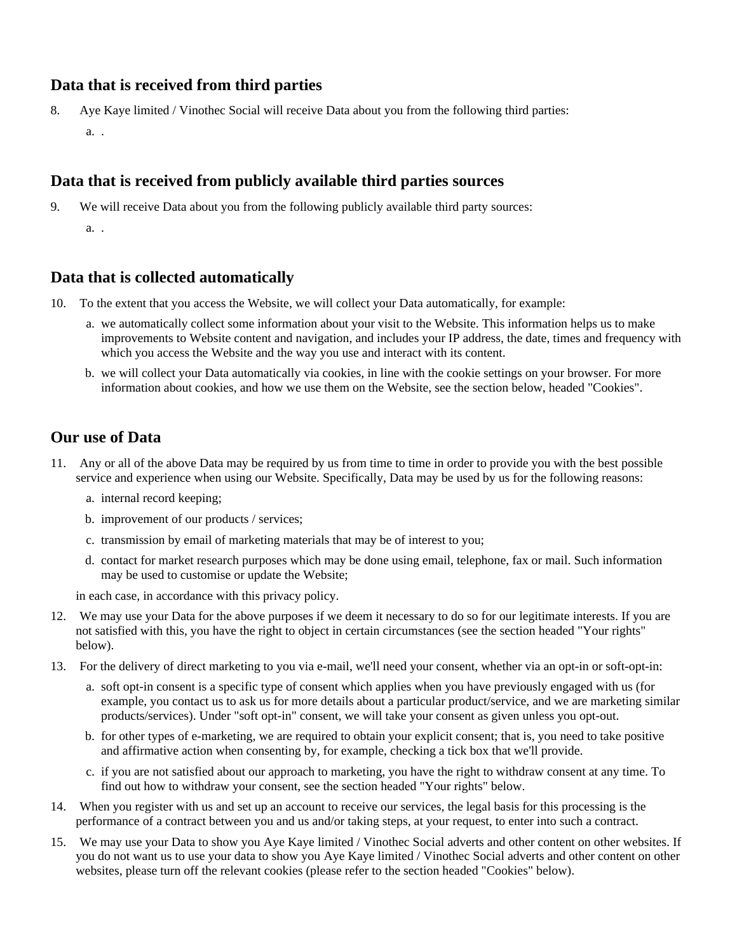## **Data that is received from third parties**

a. . 8. Aye Kaye limited / Vinothec Social will receive Data about you from the following third parties:

## **Data that is received from publicly available third parties sources**

9. We will receive Data about you from the following publicly available third party sources:

a. .

## **Data that is collected automatically**

- 10. To the extent that you access the Website, we will collect your Data automatically, for example:
	- a. we automatically collect some information about your visit to the Website. This information helps us to make improvements to Website content and navigation, and includes your IP address, the date, times and frequency with which you access the Website and the way you use and interact with its content.
	- b. we will collect your Data automatically via cookies, in line with the cookie settings on your browser. For more information about cookies, and how we use them on the Website, see the section below, headed "Cookies".

## **Our use of Data**

11. Any or all of the above Data may be required by us from time to time in order to provide you with the best possible service and experience when using our Website. Specifically, Data may be used by us for the following reasons:

- a. internal record keeping;
- b. improvement of our products / services;
- c. transmission by email of marketing materials that may be of interest to you;
- d. contact for market research purposes which may be done using email, telephone, fax or mail. Such information may be used to customise or update the Website;

in each case, in accordance with this privacy policy.

- 12. We may use your Data for the above purposes if we deem it necessary to do so for our legitimate interests. If you are not satisfied with this, you have the right to object in certain circumstances (see the section headed "Your rights" below).
- 13. For the delivery of direct marketing to you via e-mail, we'll need your consent, whether via an opt-in or soft-opt-in:
	- a. soft opt-in consent is a specific type of consent which applies when you have previously engaged with us (for example, you contact us to ask us for more details about a particular product/service, and we are marketing similar products/services). Under "soft opt-in" consent, we will take your consent as given unless you opt-out.
	- b. for other types of e-marketing, we are required to obtain your explicit consent; that is, you need to take positive and affirmative action when consenting by, for example, checking a tick box that we'll provide.
	- c. if you are not satisfied about our approach to marketing, you have the right to withdraw consent at any time. To find out how to withdraw your consent, see the section headed "Your rights" below.
- 14. When you register with us and set up an account to receive our services, the legal basis for this processing is the performance of a contract between you and us and/or taking steps, at your request, to enter into such a contract.
- 15. We may use your Data to show you Aye Kaye limited / Vinothec Social adverts and other content on other websites. If you do not want us to use your data to show you Aye Kaye limited / Vinothec Social adverts and other content on other websites, please turn off the relevant cookies (please refer to the section headed "Cookies" below).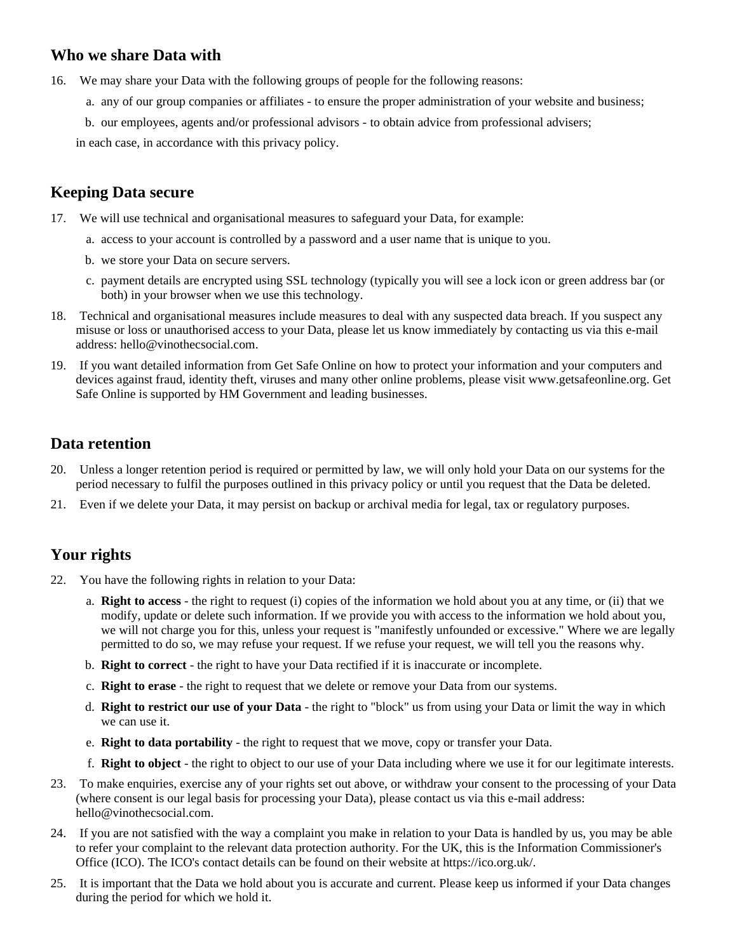## **Who we share Data with**

16. We may share your Data with the following groups of people for the following reasons:

- a. any of our group companies or affiliates to ensure the proper administration of your website and business;
- b. our employees, agents and/or professional advisors to obtain advice from professional advisers;

in each case, in accordance with this privacy policy.

## **Keeping Data secure**

17. We will use technical and organisational measures to safeguard your Data, for example:

- a. access to your account is controlled by a password and a user name that is unique to you.
- b. we store your Data on secure servers.
- c. payment details are encrypted using SSL technology (typically you will see a lock icon or green address bar (or both) in your browser when we use this technology.
- 18. Technical and organisational measures include measures to deal with any suspected data breach. If you suspect any misuse or loss or unauthorised access to your Data, please let us know immediately by contacting us via this e-mail address: hello@vinothecsocial.com.
- 19. If you want detailed information from Get Safe Online on how to protect your information and your computers and devices against fraud, identity theft, viruses and many other online problems, please visit www.getsafeonline.org. Get Safe Online is supported by HM Government and leading businesses.

### **Data retention**

- 20. Unless a longer retention period is required or permitted by law, we will only hold your Data on our systems for the period necessary to fulfil the purposes outlined in this privacy policy or until you request that the Data be deleted.
- 21. Even if we delete your Data, it may persist on backup or archival media for legal, tax or regulatory purposes.

## **Your rights**

- 22. You have the following rights in relation to your Data:
	- a. **Right to access** the right to request (i) copies of the information we hold about you at any time, or (ii) that we modify, update or delete such information. If we provide you with access to the information we hold about you, we will not charge you for this, unless your request is "manifestly unfounded or excessive." Where we are legally permitted to do so, we may refuse your request. If we refuse your request, we will tell you the reasons why.
	- b. **Right to correct** the right to have your Data rectified if it is inaccurate or incomplete.
	- c. **Right to erase** the right to request that we delete or remove your Data from our systems.
	- d. **Right to restrict our use of your Data** the right to "block" us from using your Data or limit the way in which we can use it.
	- e. **Right to data portability** the right to request that we move, copy or transfer your Data.
	- f. **Right to object** the right to object to our use of your Data including where we use it for our legitimate interests.
- 23. To make enquiries, exercise any of your rights set out above, or withdraw your consent to the processing of your Data (where consent is our legal basis for processing your Data), please contact us via this e-mail address: hello@vinothecsocial.com.
- 24. If you are not satisfied with the way a complaint you make in relation to your Data is handled by us, you may be able to refer your complaint to the relevant data protection authority. For the UK, this is the Information Commissioner's Office (ICO). The ICO's contact details can be found on their website at https://ico.org.uk/.
- 25. It is important that the Data we hold about you is accurate and current. Please keep us informed if your Data changes during the period for which we hold it.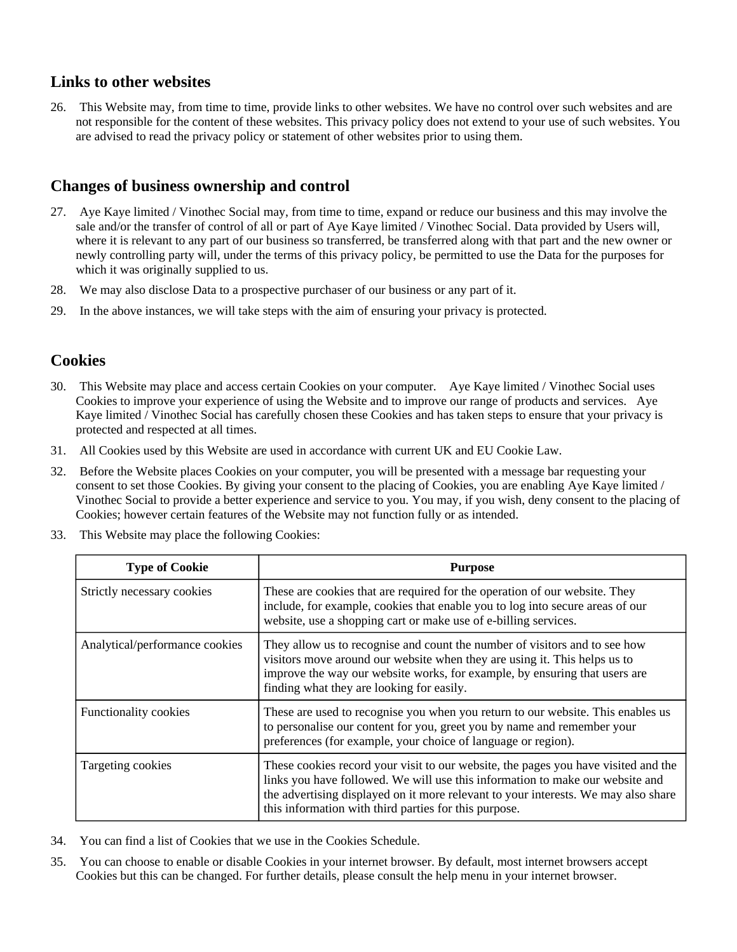## **Links to other websites**

26. This Website may, from time to time, provide links to other websites. We have no control over such websites and are not responsible for the content of these websites. This privacy policy does not extend to your use of such websites. You are advised to read the privacy policy or statement of other websites prior to using them.

## **Changes of business ownership and control**

- 27. Aye Kaye limited / Vinothec Social may, from time to time, expand or reduce our business and this may involve the sale and/or the transfer of control of all or part of Aye Kaye limited / Vinothec Social. Data provided by Users will, where it is relevant to any part of our business so transferred, be transferred along with that part and the new owner or newly controlling party will, under the terms of this privacy policy, be permitted to use the Data for the purposes for which it was originally supplied to us.
- 28. We may also disclose Data to a prospective purchaser of our business or any part of it.
- 29. In the above instances, we will take steps with the aim of ensuring your privacy is protected.

## **Cookies**

- 30. This Website may place and access certain Cookies on your computer. Aye Kaye limited / Vinothec Social uses Cookies to improve your experience of using the Website and to improve our range of products and services. Aye Kaye limited / Vinothec Social has carefully chosen these Cookies and has taken steps to ensure that your privacy is protected and respected at all times.
- 31. All Cookies used by this Website are used in accordance with current UK and EU Cookie Law.
- 32. Before the Website places Cookies on your computer, you will be presented with a message bar requesting your consent to set those Cookies. By giving your consent to the placing of Cookies, you are enabling Aye Kaye limited / Vinothec Social to provide a better experience and service to you. You may, if you wish, deny consent to the placing of Cookies; however certain features of the Website may not function fully or as intended.
- 33. This Website may place the following Cookies:

| <b>Type of Cookie</b>          | <b>Purpose</b>                                                                                                                                                                                                                                                                                                     |
|--------------------------------|--------------------------------------------------------------------------------------------------------------------------------------------------------------------------------------------------------------------------------------------------------------------------------------------------------------------|
| Strictly necessary cookies     | These are cookies that are required for the operation of our website. They<br>include, for example, cookies that enable you to log into secure areas of our<br>website, use a shopping cart or make use of e-billing services.                                                                                     |
| Analytical/performance cookies | They allow us to recognise and count the number of visitors and to see how<br>visitors move around our website when they are using it. This helps us to<br>improve the way our website works, for example, by ensuring that users are<br>finding what they are looking for easily.                                 |
| <b>Functionality cookies</b>   | These are used to recognise you when you return to our website. This enables us<br>to personalise our content for you, greet you by name and remember your<br>preferences (for example, your choice of language or region).                                                                                        |
| Targeting cookies              | These cookies record your visit to our website, the pages you have visited and the<br>links you have followed. We will use this information to make our website and<br>the advertising displayed on it more relevant to your interests. We may also share<br>this information with third parties for this purpose. |

- 34. You can find a list of Cookies that we use in the Cookies Schedule.
- 35. You can choose to enable or disable Cookies in your internet browser. By default, most internet browsers accept Cookies but this can be changed. For further details, please consult the help menu in your internet browser.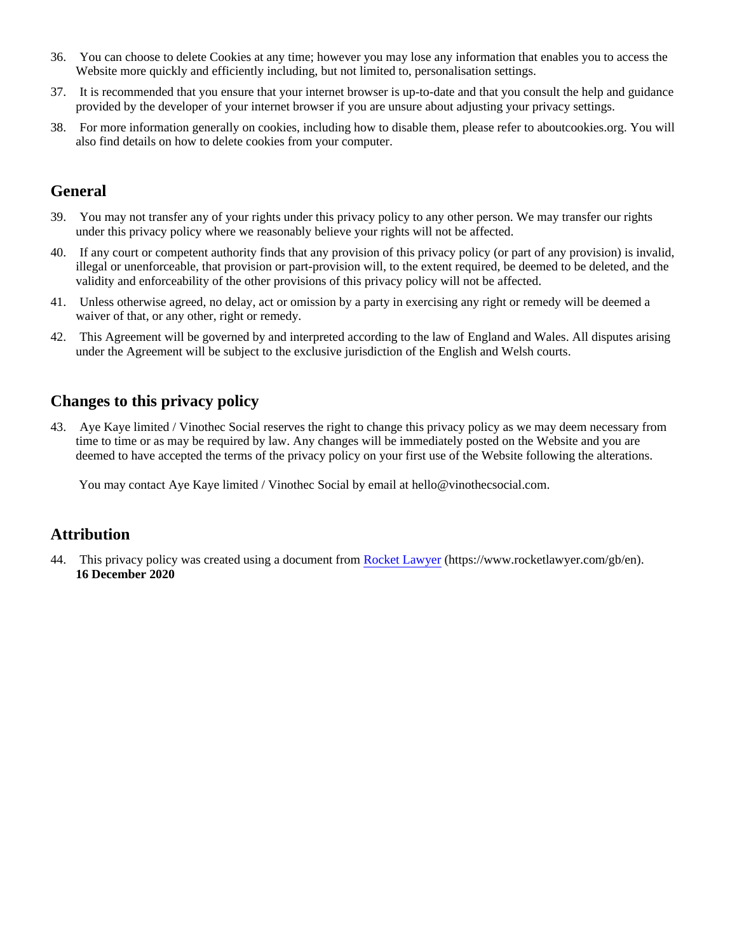- 36. You can choose to delete Cookies at any time; however you may lose any information that enables you to access the Website more quickly and efficiently including, but not limited to, personalisation settings.
- 37. It is recommended that you ensure that your internet browser is up-to-date and that you consult the help and guidance provided by the developer of your internet browser if you are unsure about adjusting your privacy settings.
- 38. For more information generally on cookies, including how to disable them, please refer to aboutcookies.org. You will also find details on how to delete cookies from your computer.

## **General**

- 39. You may not transfer any of your rights under this privacy policy to any other person. We may transfer our rights under this privacy policy where we reasonably believe your rights will not be affected.
- 40. If any court or competent authority finds that any provision of this privacy policy (or part of any provision) is invalid, illegal or unenforceable, that provision or part-provision will, to the extent required, be deemed to be deleted, and the validity and enforceability of the other provisions of this privacy policy will not be affected.
- 41. Unless otherwise agreed, no delay, act or omission by a party in exercising any right or remedy will be deemed a waiver of that, or any other, right or remedy.
- 42. This Agreement will be governed by and interpreted according to the law of England and Wales. All disputes arising under the Agreement will be subject to the exclusive jurisdiction of the English and Welsh courts.

## **Changes to this privacy policy**

43. Aye Kaye limited / Vinothec Social reserves the right to change this privacy policy as we may deem necessary from time to time or as may be required by law. Any changes will be immediately posted on the Website and you are deemed to have accepted the terms of the privacy policy on your first use of the Website following the alterations.

You may contact Aye Kaye limited / Vinothec Social by email at hello@vinothecsocial.com.

## **Attribution**

44. This privacy policy was created using a document from [Rocket Lawyer](https://www.rocketlawyer.com/gb/en/) (https://www.rocketlawyer.com/gb/en). **16 December 2020**